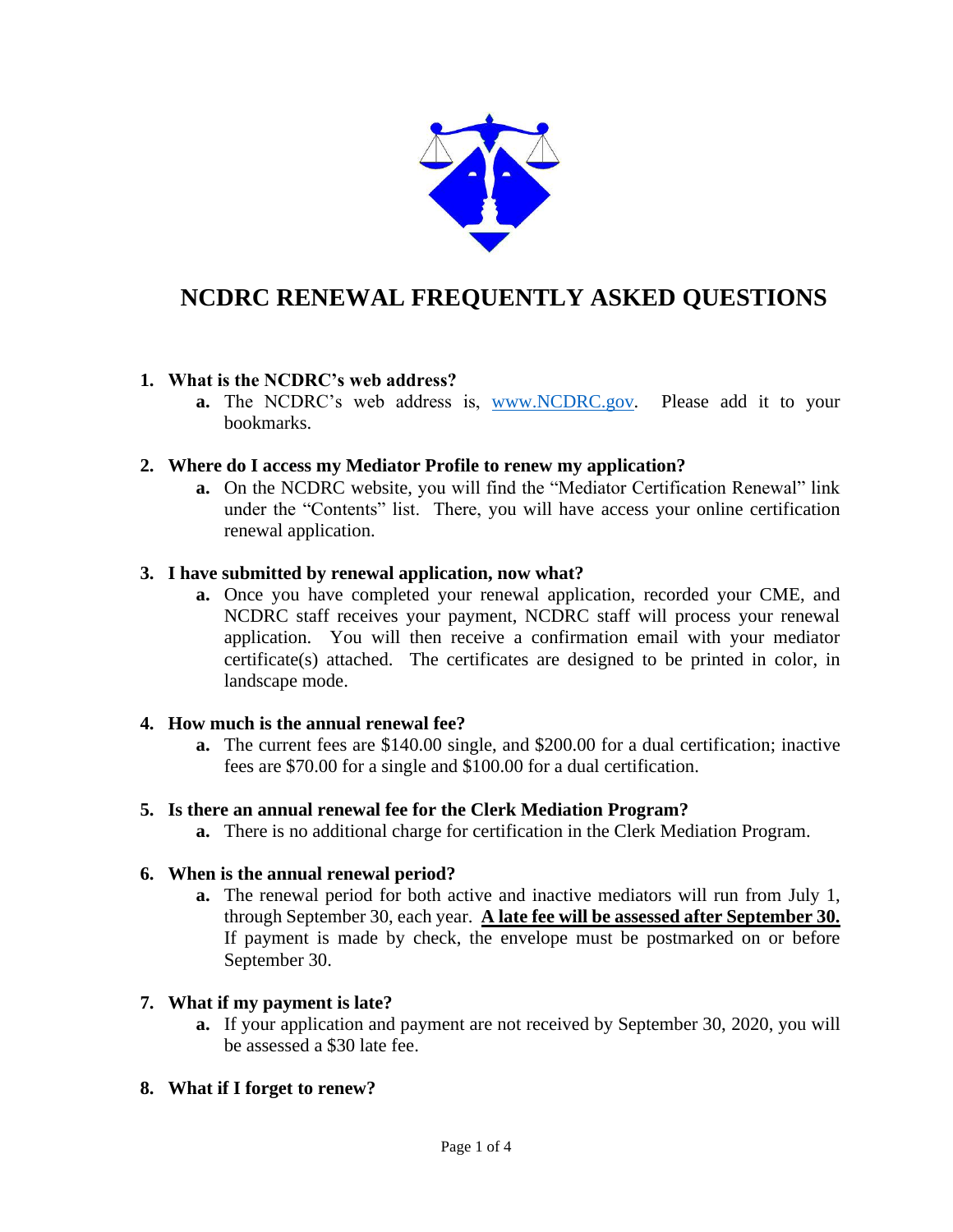

# **NCDRC RENEWAL FREQUENTLY ASKED QUESTIONS**

## **1. What is the NCDRC's web address?**

**a.** The NCDRC's web address is, [www.NCDRC.gov.](http://www.ncdrc.gov/) Please add it to your bookmarks.

## **2. Where do I access my Mediator Profile to renew my application?**

**a.** On the NCDRC website, you will find the "Mediator Certification Renewal" link under the "Contents" list. There, you will have access your online certification renewal application.

## **3. I have submitted by renewal application, now what?**

**a.** Once you have completed your renewal application, recorded your CME, and NCDRC staff receives your payment, NCDRC staff will process your renewal application.You will then receive a confirmation email with your mediator certificate(s) attached. The certificates are designed to be printed in color, in landscape mode.

### **4. How much is the annual renewal fee?**

**a.** The current fees are \$140.00 single, and \$200.00 for a dual certification; inactive fees are \$70.00 for a single and \$100.00 for a dual certification.

### **5. Is there an annual renewal fee for the Clerk Mediation Program?**

**a.** There is no additional charge for certification in the Clerk Mediation Program.

### **6. When is the annual renewal period?**

**a.** The renewal period for both active and inactive mediators will run from July 1, through September 30, each year. **A late fee will be assessed after September 30.** If payment is made by check, the envelope must be postmarked on or before September 30.

### **7. What if my payment is late?**

**a.** If your application and payment are not received by September 30, 2020, you will be assessed a \$30 late fee.

### **8. What if I forget to renew?**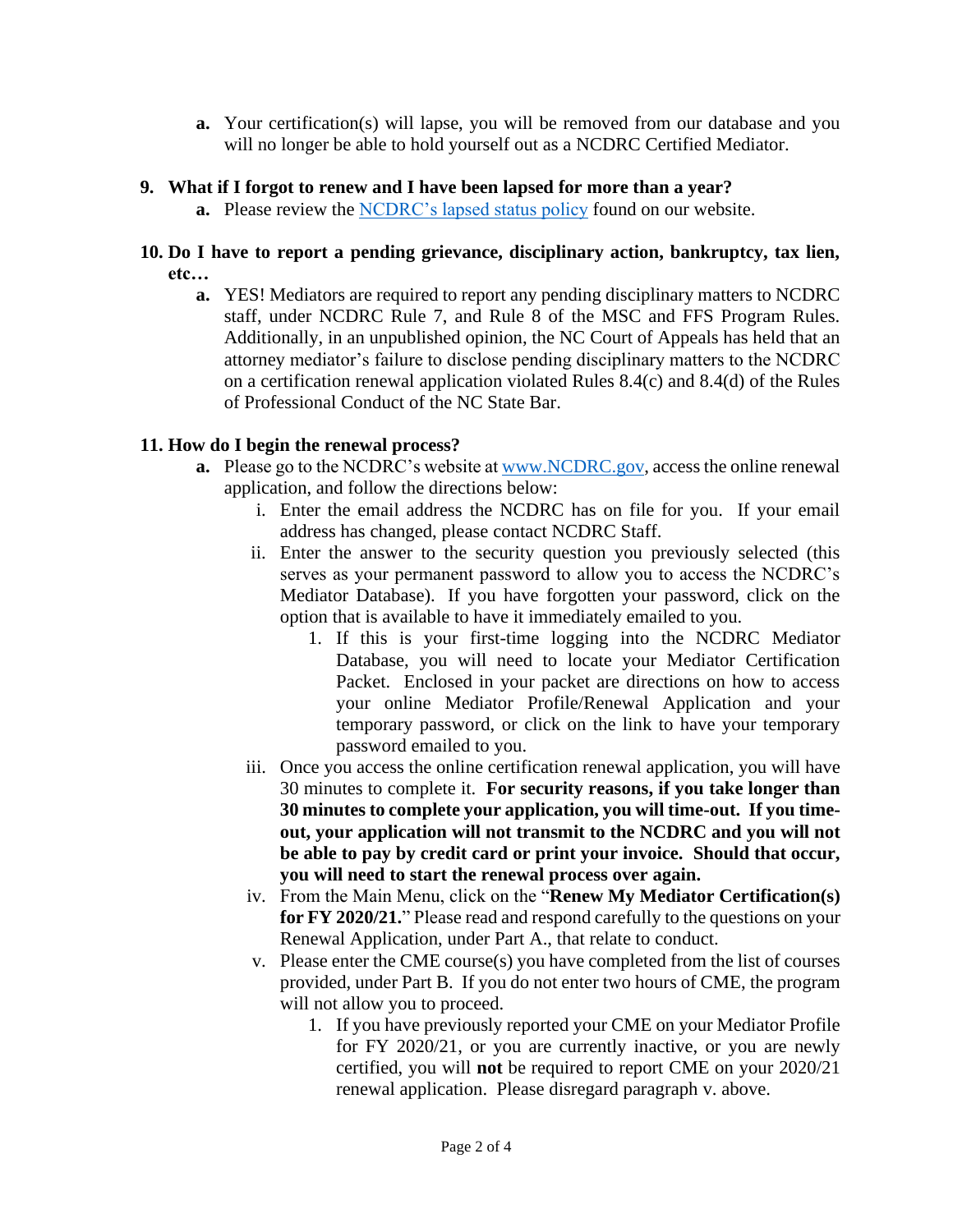**a.** Your certification(s) will lapse, you will be removed from our database and you will no longer be able to hold yourself out as a NCDRC Certified Mediator.

## **9. What if I forgot to renew and I have been lapsed for more than a year?**

**a.** Please review the [NCDRC's lapsed status policy](https://www.nccourts.gov/documents/publications/lapsed-status-and-reinstatement-policy) found on our website.

## **10. Do I have to report a pending grievance, disciplinary action, bankruptcy, tax lien, etc…**

**a.** YES! Mediators are required to report any pending disciplinary matters to NCDRC staff, under NCDRC Rule 7, and Rule 8 of the MSC and FFS Program Rules. Additionally, in an unpublished opinion, the NC Court of Appeals has held that an attorney mediator's failure to disclose pending disciplinary matters to the NCDRC on a certification renewal application violated Rules 8.4(c) and 8.4(d) of the Rules of Professional Conduct of the NC State Bar.

# **11. How do I begin the renewal process?**

- **a.** Please go to the NCDRC's website at [www.NCDRC.gov,](http://www.ncdrc.gov/) access the online renewal application, and follow the directions below:
	- i. Enter the email address the NCDRC has on file for you. If your email address has changed, please contact NCDRC Staff.
	- ii. Enter the answer to the security question you previously selected (this serves as your permanent password to allow you to access the NCDRC's Mediator Database). If you have forgotten your password, click on the option that is available to have it immediately emailed to you.
		- 1. If this is your first-time logging into the NCDRC Mediator Database, you will need to locate your Mediator Certification Packet. Enclosed in your packet are directions on how to access your online Mediator Profile/Renewal Application and your temporary password, or click on the link to have your temporary password emailed to you.
	- iii. Once you access the online certification renewal application, you will have 30 minutes to complete it. **For security reasons, if you take longer than 30 minutes to complete your application, you will time-out. If you timeout, your application will not transmit to the NCDRC and you will not be able to pay by credit card or print your invoice. Should that occur, you will need to start the renewal process over again.**
	- iv. From the Main Menu, click on the "**Renew My Mediator Certification(s) for FY 2020/21.**" Please read and respond carefully to the questions on your Renewal Application, under Part A., that relate to conduct.
	- v. Please enter the CME course(s) you have completed from the list of courses provided, under Part B. If you do not enter two hours of CME, the program will not allow you to proceed.
		- 1. If you have previously reported your CME on your Mediator Profile for FY 2020/21, or you are currently inactive, or you are newly certified, you will **not** be required to report CME on your 2020/21 renewal application. Please disregard paragraph v. above.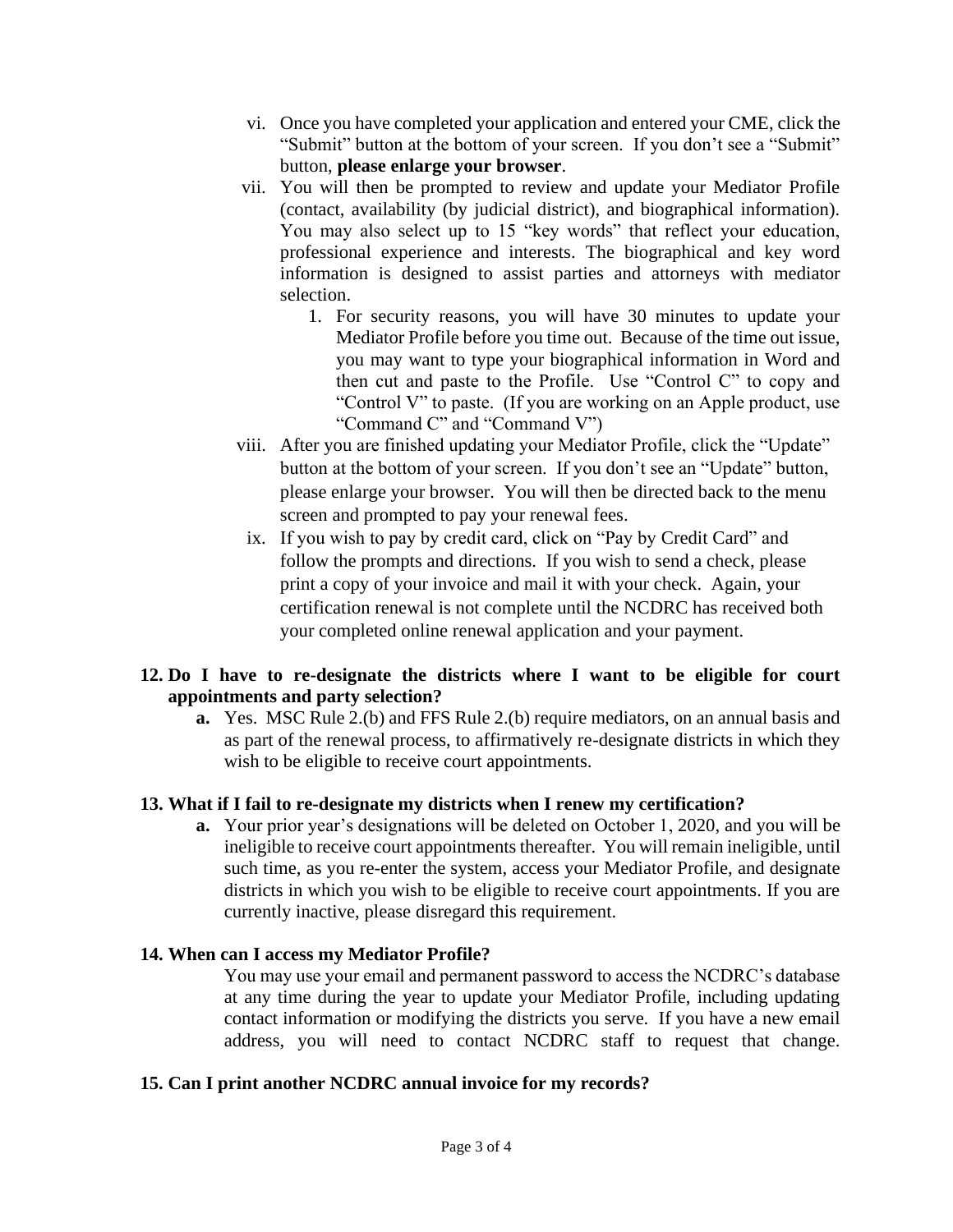- vi. Once you have completed your application and entered your CME, click the "Submit" button at the bottom of your screen. If you don't see a "Submit" button, **please enlarge your browser**.
- vii. You will then be prompted to review and update your Mediator Profile (contact, availability (by judicial district), and biographical information). You may also select up to 15 "key words" that reflect your education, professional experience and interests. The biographical and key word information is designed to assist parties and attorneys with mediator selection.
	- 1. For security reasons, you will have 30 minutes to update your Mediator Profile before you time out. Because of the time out issue, you may want to type your biographical information in Word and then cut and paste to the Profile. Use "Control C" to copy and "Control V" to paste. (If you are working on an Apple product, use "Command C" and "Command V")
- viii. After you are finished updating your Mediator Profile, click the "Update" button at the bottom of your screen. If you don't see an "Update" button, please enlarge your browser. You will then be directed back to the menu screen and prompted to pay your renewal fees.
- ix. If you wish to pay by credit card, click on "Pay by Credit Card" and follow the prompts and directions. If you wish to send a check, please print a copy of your invoice and mail it with your check. Again, your certification renewal is not complete until the NCDRC has received both your completed online renewal application and your payment.

# **12. Do I have to re-designate the districts where I want to be eligible for court appointments and party selection?**

**a.** Yes. MSC Rule 2.(b) and FFS Rule 2.(b) require mediators, on an annual basis and as part of the renewal process, to affirmatively re-designate districts in which they wish to be eligible to receive court appointments.

# **13. What if I fail to re-designate my districts when I renew my certification?**

**a.** Your prior year's designations will be deleted on October 1, 2020, and you will be ineligible to receive court appointments thereafter. You will remain ineligible, until such time, as you re-enter the system, access your Mediator Profile, and designate districts in which you wish to be eligible to receive court appointments. If you are currently inactive, please disregard this requirement.

# **14. When can I access my Mediator Profile?**

You may use your email and permanent password to access the NCDRC's database at any time during the year to update your Mediator Profile, including updating contact information or modifying the districts you serve. If you have a new email address, you will need to contact NCDRC staff to request that change.

# **15. Can I print another NCDRC annual invoice for my records?**